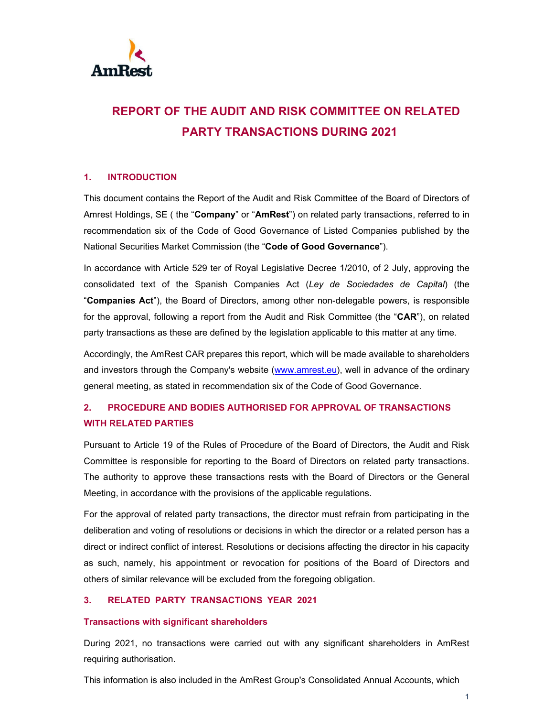

# **REPORT OF THE AUDIT AND RISK COMMITTEE ON RELATED PARTY TRANSACTIONS DURING 2021**

## **1. INTRODUCTION**

This document contains the Report of the Audit and Risk Committee of the Board of Directors of Amrest Holdings, SE ( the "**Company**" or "**AmRest**") on related party transactions, referred to in recommendation six of the Code of Good Governance of Listed Companies published by the National Securities Market Commission (the "**Code of Good Governance**").

In accordance with Article 529 ter of Royal Legislative Decree 1/2010, of 2 July, approving the consolidated text of the Spanish Companies Act (*Ley de Sociedades de Capital*) (the "**Companies Act**"), the Board of Directors, among other non-delegable powers, is responsible for the approval, following a report from the Audit and Risk Committee (the "**CAR**"), on related party transactions as these are defined by the legislation applicable to this matter at any time.

Accordingly, the AmRest CAR prepares this report, which will be made available to shareholders and investors through the Company's website (www.amrest.eu), well in advance of the ordinary general meeting, as stated in recommendation six of the Code of Good Governance.

# **2. PROCEDURE AND BODIES AUTHORISED FOR APPROVAL OF TRANSACTIONS WITH RELATED PARTIES**

Pursuant to Article 19 of the Rules of Procedure of the Board of Directors, the Audit and Risk Committee is responsible for reporting to the Board of Directors on related party transactions. The authority to approve these transactions rests with the Board of Directors or the General Meeting, in accordance with the provisions of the applicable regulations.

For the approval of related party transactions, the director must refrain from participating in the deliberation and voting of resolutions or decisions in which the director or a related person has a direct or indirect conflict of interest. Resolutions or decisions affecting the director in his capacity as such, namely, his appointment or revocation for positions of the Board of Directors and others of similar relevance will be excluded from the foregoing obligation.

### **3. RELATED PARTY TRANSACTIONS YEAR 2021**

#### **Transactions with significant shareholders**

During 2021, no transactions were carried out with any significant shareholders in AmRest requiring authorisation.

This information is also included in the AmRest Group's Consolidated Annual Accounts, which